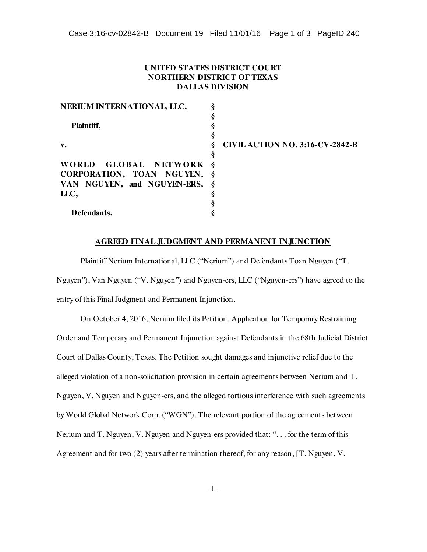## **UNITED STATES DISTRICT COURT NORTHERN DISTRICT OF TEXAS DALLAS DIVISION**

| NERIUM INTERNATIONAL, LLC,    |                                        |
|-------------------------------|----------------------------------------|
|                               |                                        |
| Plaintiff,                    |                                        |
|                               |                                        |
| $\mathbf{v}$ .                | <b>CIVIL ACTION NO. 3:16-CV-2842-B</b> |
|                               |                                        |
| WORLD GLOBAL NETWORK §        |                                        |
| CORPORATION, TOAN NGUYEN,     | $-\S$                                  |
| VAN NGUYEN, and NGUYEN-ERS, § |                                        |
| LLC,                          |                                        |
|                               |                                        |
| Defendants.                   |                                        |

## **AGREED FINAL JUDGMENT AND PERMANENT INJUNCTION**

Plaintiff Nerium International, LLC ("Nerium") and Defendants Toan Nguyen ("T. Nguyen"), Van Nguyen ("V. Nguyen") and Nguyen-ers, LLC ("Nguyen-ers") have agreed to the entry of this Final Judgment and Permanent Injunction.

On October 4, 2016, Nerium filed its Petition, Application for Temporary Restraining Order and Temporary and Permanent Injunction against Defendants in the 68th Judicial District Court of Dallas County, Texas. The Petition sought damages and injunctive relief due to the alleged violation of a non-solicitation provision in certain agreements between Nerium and T. Nguyen, V. Nguyen and Nguyen-ers, and the alleged tortious interference with such agreements by World Global Network Corp. ("WGN"). The relevant portion of the agreements between Nerium and T. Nguyen, V. Nguyen and Nguyen-ers provided that: ". . . for the term of this Agreement and for two (2) years after termination thereof, for any reason, [T. Nguyen, V.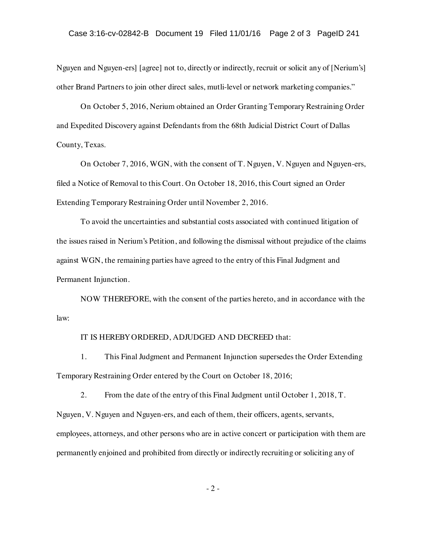Nguyen and Nguyen-ers] [agree] not to, directly or indirectly, recruit or solicit any of [Nerium's] other Brand Partners to join other direct sales, mutli-level or network marketing companies."

On October 5, 2016, Nerium obtained an Order Granting Temporary Restraining Order and Expedited Discovery against Defendants from the 68th Judicial District Court of Dallas County, Texas.

On October 7, 2016, WGN, with the consent of T. Nguyen, V. Nguyen and Nguyen-ers, filed a Notice of Removal to this Court. On October 18, 2016, this Court signed an Order Extending Temporary Restraining Order until November 2, 2016.

To avoid the uncertainties and substantial costs associated with continued litigation of the issues raised in Nerium's Petition, and following the dismissal without prejudice of the claims against WGN, the remaining parties have agreed to the entry of this Final Judgment and Permanent Injunction.

NOW THEREFORE, with the consent of the parties hereto, and in accordance with the law:

## IT IS HEREBY ORDERED, ADJUDGED AND DECREED that:

1. This Final Judgment and Permanent Injunction supersedes the Order Extending Temporary Restraining Order entered by the Court on October 18, 2016;

2. From the date of the entry of this Final Judgment until October 1, 2018, T. Nguyen, V. Nguyen and Nguyen-ers, and each of them, their officers, agents, servants, employees, attorneys, and other persons who are in active concert or participation with them are permanently enjoined and prohibited from directly or indirectly recruiting or soliciting any of

- 2 -